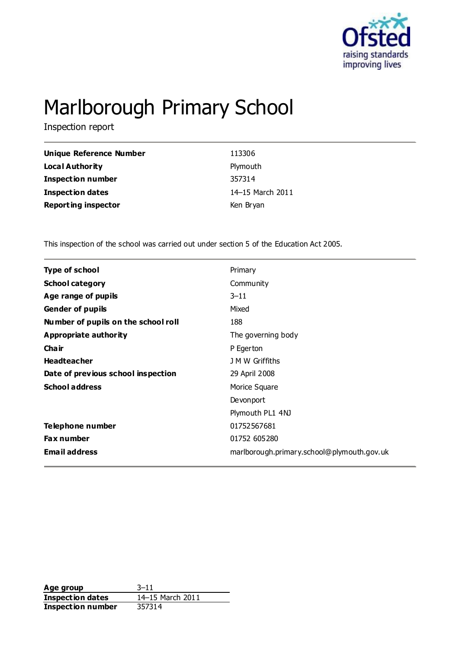

# Marlborough Primary School

Inspection report

| Unique Reference Number    | 113306           |
|----------------------------|------------------|
| <b>Local Authority</b>     | Plymouth         |
| <b>Inspection number</b>   | 357314           |
| <b>Inspection dates</b>    | 14-15 March 2011 |
| <b>Reporting inspector</b> | Ken Bryan        |

This inspection of the school was carried out under section 5 of the Education Act 2005.

| <b>Type of school</b><br>Primary<br><b>School category</b><br>Community<br>$3 - 11$<br>Age range of pupils<br><b>Gender of pupils</b><br>Mixed<br>188<br>Number of pupils on the school roll<br><b>Appropriate authority</b><br>The governing body<br>Cha ir<br>P Egerton<br><b>Headteacher</b><br>J M W Griffiths<br>Date of previous school inspection<br>29 April 2008<br><b>School address</b><br>Morice Square<br>Devonport<br>Plymouth PL1 4NJ<br>Telephone number<br>01752567681<br>01752 605280<br>Fax number<br><b>Email address</b><br>marlborough.primary.school@plymouth.gov.uk |  |
|---------------------------------------------------------------------------------------------------------------------------------------------------------------------------------------------------------------------------------------------------------------------------------------------------------------------------------------------------------------------------------------------------------------------------------------------------------------------------------------------------------------------------------------------------------------------------------------------|--|
|                                                                                                                                                                                                                                                                                                                                                                                                                                                                                                                                                                                             |  |
|                                                                                                                                                                                                                                                                                                                                                                                                                                                                                                                                                                                             |  |
|                                                                                                                                                                                                                                                                                                                                                                                                                                                                                                                                                                                             |  |
|                                                                                                                                                                                                                                                                                                                                                                                                                                                                                                                                                                                             |  |
|                                                                                                                                                                                                                                                                                                                                                                                                                                                                                                                                                                                             |  |
|                                                                                                                                                                                                                                                                                                                                                                                                                                                                                                                                                                                             |  |
|                                                                                                                                                                                                                                                                                                                                                                                                                                                                                                                                                                                             |  |
|                                                                                                                                                                                                                                                                                                                                                                                                                                                                                                                                                                                             |  |
|                                                                                                                                                                                                                                                                                                                                                                                                                                                                                                                                                                                             |  |
|                                                                                                                                                                                                                                                                                                                                                                                                                                                                                                                                                                                             |  |
|                                                                                                                                                                                                                                                                                                                                                                                                                                                                                                                                                                                             |  |
|                                                                                                                                                                                                                                                                                                                                                                                                                                                                                                                                                                                             |  |
|                                                                                                                                                                                                                                                                                                                                                                                                                                                                                                                                                                                             |  |
|                                                                                                                                                                                                                                                                                                                                                                                                                                                                                                                                                                                             |  |
|                                                                                                                                                                                                                                                                                                                                                                                                                                                                                                                                                                                             |  |

**Age group** 3-11<br> **Inspection dates** 14-15 March 2011 **Inspection dates Inspection number** 357314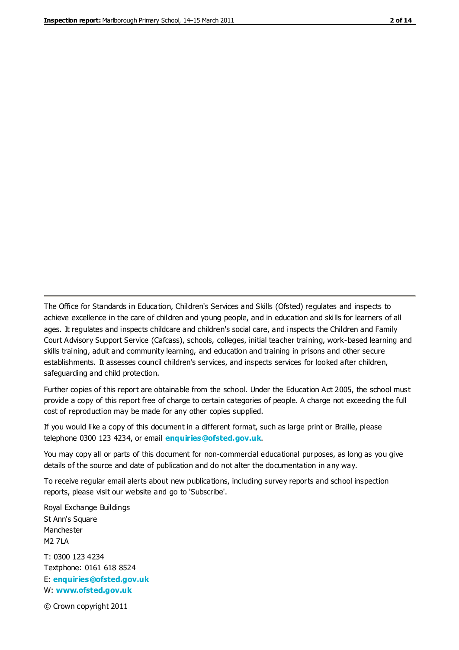The Office for Standards in Education, Children's Services and Skills (Ofsted) regulates and inspects to achieve excellence in the care of children and young people, and in education and skills for learners of all ages. It regulates and inspects childcare and children's social care, and inspects the Children and Family Court Advisory Support Service (Cafcass), schools, colleges, initial teacher training, work-based learning and skills training, adult and community learning, and education and training in prisons and other secure establishments. It assesses council children's services, and inspects services for looked after children, safeguarding and child protection.

Further copies of this report are obtainable from the school. Under the Education Act 2005, the school must provide a copy of this report free of charge to certain categories of people. A charge not exceeding the full cost of reproduction may be made for any other copies supplied.

If you would like a copy of this document in a different format, such as large print or Braille, please telephone 0300 123 4234, or email **[enquiries@ofsted.gov.uk](mailto:enquiries@ofsted.gov.uk)**.

You may copy all or parts of this document for non-commercial educational purposes, as long as you give details of the source and date of publication and do not alter the documentation in any way.

To receive regular email alerts about new publications, including survey reports and school inspection reports, please visit our website and go to 'Subscribe'.

Royal Exchange Buildings St Ann's Square Manchester M2 7LA T: 0300 123 4234 Textphone: 0161 618 8524 E: **[enquiries@ofsted.gov.uk](mailto:enquiries@ofsted.gov.uk)**

W: **[www.ofsted.gov.uk](http://www.ofsted.gov.uk/)**

© Crown copyright 2011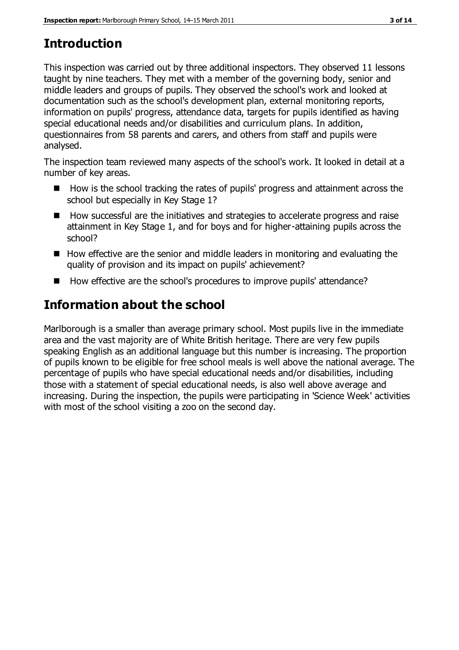## **Introduction**

This inspection was carried out by three additional inspectors. They observed 11 lessons taught by nine teachers. They met with a member of the governing body, senior and middle leaders and groups of pupils. They observed the school's work and looked at documentation such as the school's development plan, external monitoring reports, information on pupils' progress, attendance data, targets for pupils identified as having special educational needs and/or disabilities and curriculum plans. In addition, questionnaires from 58 parents and carers, and others from staff and pupils were analysed.

The inspection team reviewed many aspects of the school's work. It looked in detail at a number of key areas.

- How is the school tracking the rates of pupils' progress and attainment across the school but especially in Key Stage 1?
- How successful are the initiatives and strategies to accelerate progress and raise attainment in Key Stage 1, and for boys and for higher-attaining pupils across the school?
- $\blacksquare$  How effective are the senior and middle leaders in monitoring and evaluating the quality of provision and its impact on pupils' achievement?
- How effective are the school's procedures to improve pupils' attendance?

# **Information about the school**

Marlborough is a smaller than average primary school. Most pupils live in the immediate area and the vast majority are of White British heritage. There are very few pupils speaking English as an additional language but this number is increasing. The proportion of pupils known to be eligible for free school meals is well above the national average. The percentage of pupils who have special educational needs and/or disabilities, including those with a statement of special educational needs, is also well above average and increasing. During the inspection, the pupils were participating in 'Science Week' activities with most of the school visiting a zoo on the second day.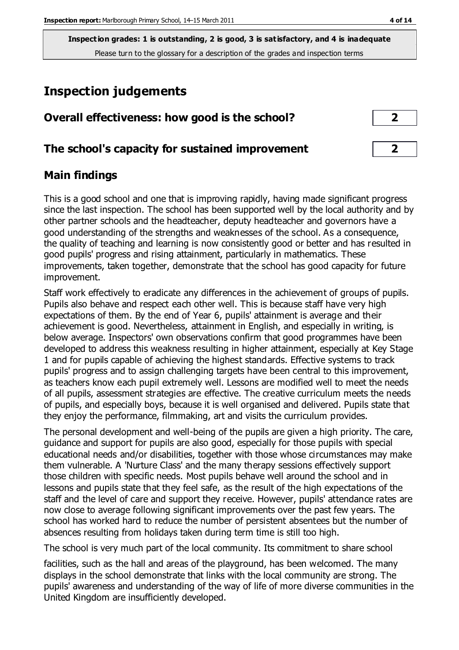**Inspection grades: 1 is outstanding, 2 is good, 3 is satisfactory, and 4 is inadequate** Please turn to the glossary for a description of the grades and inspection terms

# **Inspection judgements**

| Overall effectiveness: how good is the school?  |                |
|-------------------------------------------------|----------------|
| The school's capacity for sustained improvement | $\overline{2}$ |

#### **Main findings**

This is a good school and one that is improving rapidly, having made significant progress since the last inspection. The school has been supported well by the local authority and by other partner schools and the headteacher, deputy headteacher and governors have a good understanding of the strengths and weaknesses of the school. As a consequence, the quality of teaching and learning is now consistently good or better and has resulted in good pupils' progress and rising attainment, particularly in mathematics. These improvements, taken together, demonstrate that the school has good capacity for future improvement.

Staff work effectively to eradicate any differences in the achievement of groups of pupils. Pupils also behave and respect each other well. This is because staff have very high expectations of them. By the end of Year 6, pupils' attainment is average and their achievement is good. Nevertheless, attainment in English, and especially in writing, is below average. Inspectors' own observations confirm that good programmes have been developed to address this weakness resulting in higher attainment, especially at Key Stage 1 and for pupils capable of achieving the highest standards. Effective systems to track pupils' progress and to assign challenging targets have been central to this improvement, as teachers know each pupil extremely well. Lessons are modified well to meet the needs of all pupils, assessment strategies are effective. The creative curriculum meets the needs of pupils, and especially boys, because it is well organised and delivered. Pupils state that they enjoy the performance, filmmaking, art and visits the curriculum provides.

The personal development and well-being of the pupils are given a high priority. The care, guidance and support for pupils are also good, especially for those pupils with special educational needs and/or disabilities, together with those whose circumstances may make them vulnerable. A 'Nurture Class' and the many therapy sessions effectively support those children with specific needs. Most pupils behave well around the school and in lessons and pupils state that they feel safe, as the result of the high expectations of the staff and the level of care and support they receive. However, pupils' attendance rates are now close to average following significant improvements over the past few years. The school has worked hard to reduce the number of persistent absentees but the number of absences resulting from holidays taken during term time is still too high.

The school is very much part of the local community. Its commitment to share school

facilities, such as the hall and areas of the playground, has been welcomed. The many displays in the school demonstrate that links with the local community are strong. The pupils' awareness and understanding of the way of life of more diverse communities in the United Kingdom are insufficiently developed.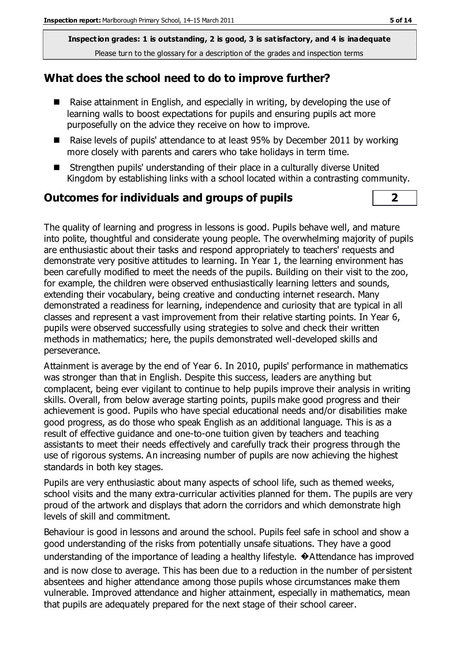**Inspection grades: 1 is outstanding, 2 is good, 3 is satisfactory, and 4 is inadequate** Please turn to the glossary for a description of the grades and inspection terms

#### **What does the school need to do to improve further?**

- Raise attainment in English, and especially in writing, by developing the use of learning walls to boost expectations for pupils and ensuring pupils act more purposefully on the advice they receive on how to improve.
- Raise levels of pupils' attendance to at least 95% by December 2011 by working more closely with parents and carers who take holidays in term time.
- Strengthen pupils' understanding of their place in a culturally diverse United Kingdom by establishing links with a school located within a contrasting community.

#### **Outcomes for individuals and groups of pupils 2**

The quality of learning and progress in lessons is good. Pupils behave well, and mature into polite, thoughtful and considerate young people. The overwhelming majority of pupils are enthusiastic about their tasks and respond appropriately to teachers' requests and demonstrate very positive attitudes to learning. In Year 1, the learning environment has been carefully modified to meet the needs of the pupils. Building on their visit to the zoo, for example, the children were observed enthusiastically learning letters and sounds, extending their vocabulary, being creative and conducting internet research. Many demonstrated a readiness for learning, independence and curiosity that are typical in all classes and represent a vast improvement from their relative starting points. In Year 6, pupils were observed successfully using strategies to solve and check their written methods in mathematics; here, the pupils demonstrated well-developed skills and perseverance.

Attainment is average by the end of Year 6. In 2010, pupils' performance in mathematics was stronger than that in English. Despite this success, leaders are anything but complacent, being ever vigilant to continue to help pupils improve their analysis in writing skills. Overall, from below average starting points, pupils make good progress and their achievement is good. Pupils who have special educational needs and/or disabilities make good progress, as do those who speak English as an additional language. This is as a result of effective guidance and one-to-one tuition given by teachers and teaching assistants to meet their needs effectively and carefully track their progress through the use of rigorous systems. An increasing number of pupils are now achieving the highest standards in both key stages.

Pupils are very enthusiastic about many aspects of school life, such as themed weeks, school visits and the many extra-curricular activities planned for them. The pupils are very proud of the artwork and displays that adorn the corridors and which demonstrate high levels of skill and commitment.

Behaviour is good in lessons and around the school. Pupils feel safe in school and show a good understanding of the risks from potentially unsafe situations. They have a good understanding of the importance of leading a healthy lifestyle.  $\bullet$  Attendance has improved and is now close to average. This has been due to a reduction in the number of persistent absentees and higher attendance among those pupils whose circumstances make them vulnerable. Improved attendance and higher attainment, especially in mathematics, mean that pupils are adequately prepared for the next stage of their school career.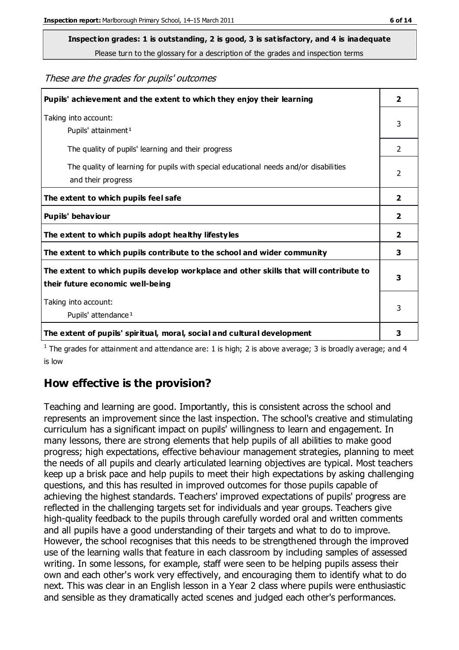# **Inspection grades: 1 is outstanding, 2 is good, 3 is satisfactory, and 4 is inadequate**

Please turn to the glossary for a description of the grades and inspection terms

These are the grades for pupils' outcomes

| Pupils' achievement and the extent to which they enjoy their learning                                                     | $\overline{2}$ |
|---------------------------------------------------------------------------------------------------------------------------|----------------|
| Taking into account:<br>Pupils' attainment <sup>1</sup>                                                                   | 3              |
| The quality of pupils' learning and their progress                                                                        | $\mathcal{P}$  |
| The quality of learning for pupils with special educational needs and/or disabilities<br>and their progress               | 2              |
| The extent to which pupils feel safe                                                                                      | 2              |
| Pupils' behaviour                                                                                                         | 2              |
| The extent to which pupils adopt healthy lifestyles                                                                       | 2              |
| The extent to which pupils contribute to the school and wider community                                                   | 3              |
| The extent to which pupils develop workplace and other skills that will contribute to<br>their future economic well-being | 3              |
| Taking into account:<br>Pupils' attendance <sup>1</sup>                                                                   | 3              |
| The extent of pupils' spiritual, moral, social and cultural development                                                   | 3              |

<sup>1</sup> The grades for attainment and attendance are: 1 is high; 2 is above average; 3 is broadly average; and 4 is low

#### **How effective is the provision?**

Teaching and learning are good. Importantly, this is consistent across the school and represents an improvement since the last inspection. The school's creative and stimulating curriculum has a significant impact on pupils' willingness to learn and engagement. In many lessons, there are strong elements that help pupils of all abilities to make good progress; high expectations, effective behaviour management strategies, planning to meet the needs of all pupils and clearly articulated learning objectives are typical. Most teachers keep up a brisk pace and help pupils to meet their high expectations by asking challenging questions, and this has resulted in improved outcomes for those pupils capable of achieving the highest standards. Teachers' improved expectations of pupils' progress are reflected in the challenging targets set for individuals and year groups. Teachers give high-quality feedback to the pupils through carefully worded oral and written comments and all pupils have a good understanding of their targets and what to do to improve. However, the school recognises that this needs to be strengthened through the improved use of the learning walls that feature in each classroom by including samples of assessed writing. In some lessons, for example, staff were seen to be helping pupils assess their own and each other's work very effectively, and encouraging them to identify what to do next. This was clear in an English lesson in a Year 2 class where pupils were enthusiastic and sensible as they dramatically acted scenes and judged each other's performances.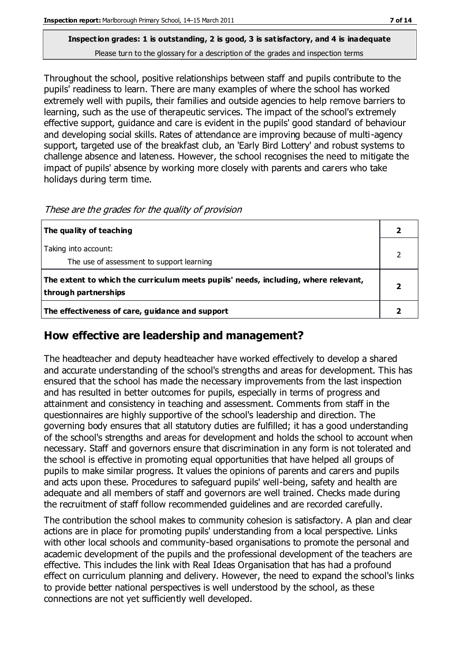#### **Inspection grades: 1 is outstanding, 2 is good, 3 is satisfactory, and 4 is inadequate** Please turn to the glossary for a description of the grades and inspection terms

Throughout the school, positive relationships between staff and pupils contribute to the pupils' readiness to learn. There are many examples of where the school has worked extremely well with pupils, their families and outside agencies to help remove barriers to learning, such as the use of therapeutic services. The impact of the school's extremely effective support, guidance and care is evident in the pupils' good standard of behaviour and developing social skills. Rates of attendance are improving because of multi-agency support, targeted use of the breakfast club, an 'Early Bird Lottery' and robust systems to challenge absence and lateness. However, the school recognises the need to mitigate the impact of pupils' absence by working more closely with parents and carers who take holidays during term time.

| The quality of teaching                                                                                    |  |
|------------------------------------------------------------------------------------------------------------|--|
| Taking into account:                                                                                       |  |
| The use of assessment to support learning                                                                  |  |
| The extent to which the curriculum meets pupils' needs, including, where relevant,<br>through partnerships |  |
| The effectiveness of care, guidance and support                                                            |  |

These are the grades for the quality of provision

#### **How effective are leadership and management?**

The headteacher and deputy headteacher have worked effectively to develop a shared and accurate understanding of the school's strengths and areas for development. This has ensured that the school has made the necessary improvements from the last inspection and has resulted in better outcomes for pupils, especially in terms of progress and attainment and consistency in teaching and assessment. Comments from staff in the questionnaires are highly supportive of the school's leadership and direction. The governing body ensures that all statutory duties are fulfilled; it has a good understanding of the school's strengths and areas for development and holds the school to account when necessary. Staff and governors ensure that discrimination in any form is not tolerated and the school is effective in promoting equal opportunities that have helped all groups of pupils to make similar progress. It values the opinions of parents and carers and pupils and acts upon these. Procedures to safeguard pupils' well-being, safety and health are adequate and all members of staff and governors are well trained. Checks made during the recruitment of staff follow recommended guidelines and are recorded carefully.

The contribution the school makes to community cohesion is satisfactory. A plan and clear actions are in place for promoting pupils' understanding from a local perspective. Links with other local schools and community-based organisations to promote the personal and academic development of the pupils and the professional development of the teachers are effective. This includes the link with Real Ideas Organisation that has had a profound effect on curriculum planning and delivery. However, the need to expand the school's links to provide better national perspectives is well understood by the school, as these connections are not yet sufficiently well developed.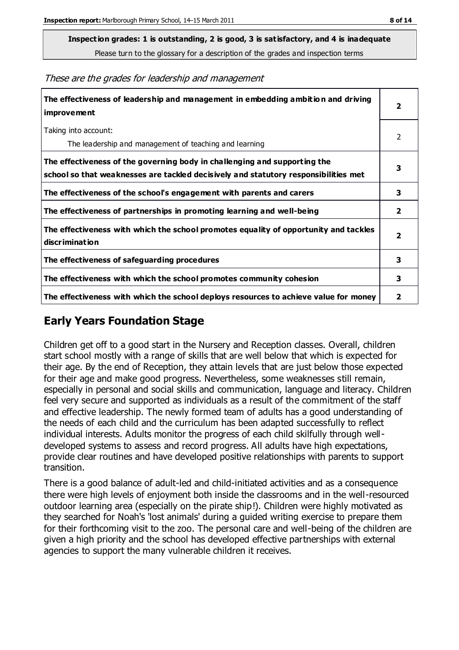**Inspection grades: 1 is outstanding, 2 is good, 3 is satisfactory, and 4 is inadequate**

Please turn to the glossary for a description of the grades and inspection terms

|  |  | These are the grades for leadership and management |
|--|--|----------------------------------------------------|
|  |  |                                                    |

| The effectiveness of leadership and management in embedding ambition and driving<br>improvement                                                                  | $\overline{2}$          |
|------------------------------------------------------------------------------------------------------------------------------------------------------------------|-------------------------|
| Taking into account:<br>The leadership and management of teaching and learning                                                                                   | $\mathcal{P}$           |
| The effectiveness of the governing body in challenging and supporting the<br>school so that weaknesses are tackled decisively and statutory responsibilities met | 3                       |
| The effectiveness of the school's engagement with parents and carers                                                                                             | 3                       |
| The effectiveness of partnerships in promoting learning and well-being                                                                                           | 2                       |
| The effectiveness with which the school promotes equality of opportunity and tackles<br>discrimination                                                           | $\overline{\mathbf{2}}$ |
| The effectiveness of safeguarding procedures                                                                                                                     | 3                       |
| The effectiveness with which the school promotes community cohesion                                                                                              | 3                       |
| The effectiveness with which the school deploys resources to achieve value for money                                                                             | 2                       |

#### **Early Years Foundation Stage**

Children get off to a good start in the Nursery and Reception classes. Overall, children start school mostly with a range of skills that are well below that which is expected for their age. By the end of Reception, they attain levels that are just below those expected for their age and make good progress. Nevertheless, some weaknesses still remain, especially in personal and social skills and communication, language and literacy. Children feel very secure and supported as individuals as a result of the commitment of the staff and effective leadership. The newly formed team of adults has a good understanding of the needs of each child and the curriculum has been adapted successfully to reflect individual interests. Adults monitor the progress of each child skilfully through welldeveloped systems to assess and record progress. All adults have high expectations, provide clear routines and have developed positive relationships with parents to support transition.

There is a good balance of adult-led and child-initiated activities and as a consequence there were high levels of enjoyment both inside the classrooms and in the well-resourced outdoor learning area (especially on the pirate ship!). Children were highly motivated as they searched for Noah's 'lost animals' during a guided writing exercise to prepare them for their forthcoming visit to the zoo. The personal care and well-being of the children are given a high priority and the school has developed effective partnerships with external agencies to support the many vulnerable children it receives.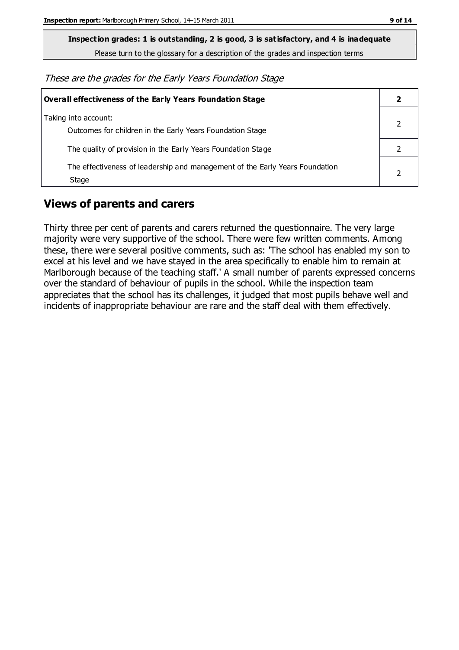**Inspection grades: 1 is outstanding, 2 is good, 3 is satisfactory, and 4 is inadequate**

Please turn to the glossary for a description of the grades and inspection terms

These are the grades for the Early Years Foundation Stage

| Overall effectiveness of the Early Years Foundation Stage                             |  |
|---------------------------------------------------------------------------------------|--|
| Taking into account:<br>Outcomes for children in the Early Years Foundation Stage     |  |
| The quality of provision in the Early Years Foundation Stage                          |  |
| The effectiveness of leadership and management of the Early Years Foundation<br>Stage |  |

#### **Views of parents and carers**

Thirty three per cent of parents and carers returned the questionnaire. The very large majority were very supportive of the school. There were few written comments. Among these, there were several positive comments, such as: 'The school has enabled my son to excel at his level and we have stayed in the area specifically to enable him to remain at Marlborough because of the teaching staff.' A small number of parents expressed concerns over the standard of behaviour of pupils in the school. While the inspection team appreciates that the school has its challenges, it judged that most pupils behave well and incidents of inappropriate behaviour are rare and the staff deal with them effectively.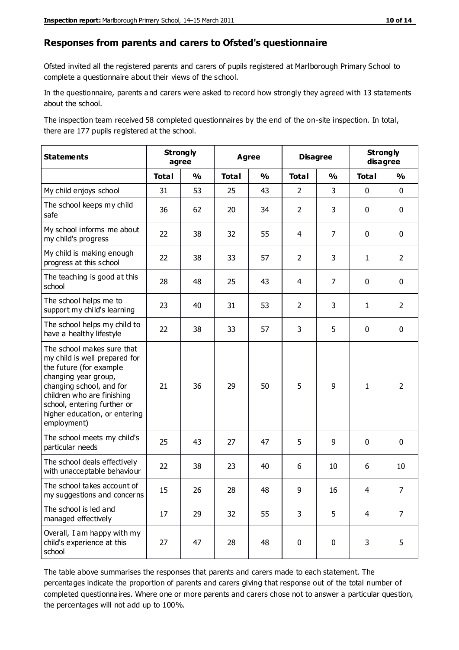#### **Responses from parents and carers to Ofsted's questionnaire**

Ofsted invited all the registered parents and carers of pupils registered at Marlborough Primary School to complete a questionnaire about their views of the school.

In the questionnaire, parents and carers were asked to record how strongly they agreed with 13 statements about the school.

The inspection team received 58 completed questionnaires by the end of the on-site inspection. In total, there are 177 pupils registered at the school.

| <b>Statements</b>                                                                                                                                                                                                                                       |              | <b>Strongly</b><br>agree | <b>Agree</b> |               | <b>Disagree</b> |                | <b>Strongly</b><br>disagree |                |
|---------------------------------------------------------------------------------------------------------------------------------------------------------------------------------------------------------------------------------------------------------|--------------|--------------------------|--------------|---------------|-----------------|----------------|-----------------------------|----------------|
|                                                                                                                                                                                                                                                         | <b>Total</b> | $\frac{0}{0}$            | <b>Total</b> | $\frac{0}{0}$ | <b>Total</b>    | $\frac{0}{0}$  | <b>Total</b>                | $\frac{0}{0}$  |
| My child enjoys school                                                                                                                                                                                                                                  | 31           | 53                       | 25           | 43            | $\overline{2}$  | 3              | 0                           | $\mathbf 0$    |
| The school keeps my child<br>safe                                                                                                                                                                                                                       | 36           | 62                       | 20           | 34            | $\overline{2}$  | 3              | $\mathbf 0$                 | $\mathbf 0$    |
| My school informs me about<br>my child's progress                                                                                                                                                                                                       | 22           | 38                       | 32           | 55            | 4               | $\overline{7}$ | $\mathbf 0$                 | $\mathbf 0$    |
| My child is making enough<br>progress at this school                                                                                                                                                                                                    | 22           | 38                       | 33           | 57            | $\overline{2}$  | 3              | $\mathbf{1}$                | $\overline{2}$ |
| The teaching is good at this<br>school                                                                                                                                                                                                                  | 28           | 48                       | 25           | 43            | 4               | $\overline{7}$ | $\mathbf 0$                 | $\mathbf 0$    |
| The school helps me to<br>support my child's learning                                                                                                                                                                                                   | 23           | 40                       | 31           | 53            | $\overline{2}$  | 3              | $\mathbf{1}$                | $\overline{2}$ |
| The school helps my child to<br>have a healthy lifestyle                                                                                                                                                                                                | 22           | 38                       | 33           | 57            | 3               | 5              | $\mathbf 0$                 | $\mathbf 0$    |
| The school makes sure that<br>my child is well prepared for<br>the future (for example<br>changing year group,<br>changing school, and for<br>children who are finishing<br>school, entering further or<br>higher education, or entering<br>employment) | 21           | 36                       | 29           | 50            | 5               | 9              | $\mathbf{1}$                | $\overline{2}$ |
| The school meets my child's<br>particular needs                                                                                                                                                                                                         | 25           | 43                       | 27           | 47            | 5               | 9              | $\mathbf 0$                 | $\mathbf 0$    |
| The school deals effectively<br>with unacceptable behaviour                                                                                                                                                                                             | 22           | 38                       | 23           | 40            | 6               | 10             | 6                           | 10             |
| The school takes account of<br>my suggestions and concerns                                                                                                                                                                                              | 15           | 26                       | 28           | 48            | 9               | 16             | 4                           | 7              |
| The school is led and<br>managed effectively                                                                                                                                                                                                            | 17           | 29                       | 32           | 55            | 3               | 5              | $\overline{4}$              | $\overline{7}$ |
| Overall, I am happy with my<br>child's experience at this<br>school                                                                                                                                                                                     | 27           | 47                       | 28           | 48            | $\pmb{0}$       | $\bf{0}$       | 3                           | 5              |

The table above summarises the responses that parents and carers made to each statement. The percentages indicate the proportion of parents and carers giving that response out of the total number of completed questionnaires. Where one or more parents and carers chose not to answer a particular question, the percentages will not add up to 100%.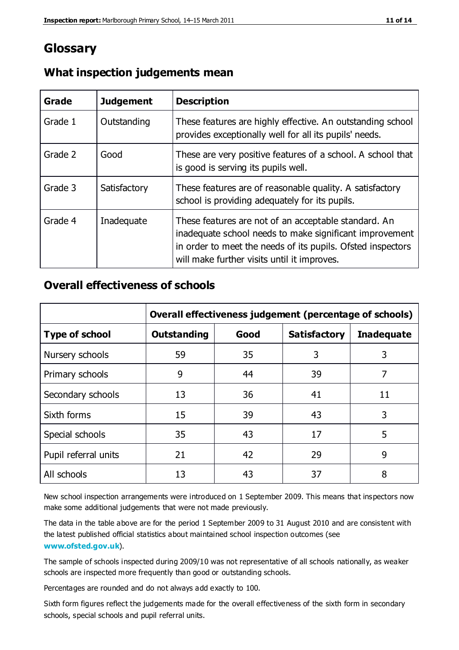### **Glossary**

| Grade   | <b>Judgement</b> | <b>Description</b>                                                                                                                                                                                                            |
|---------|------------------|-------------------------------------------------------------------------------------------------------------------------------------------------------------------------------------------------------------------------------|
| Grade 1 | Outstanding      | These features are highly effective. An outstanding school<br>provides exceptionally well for all its pupils' needs.                                                                                                          |
| Grade 2 | Good             | These are very positive features of a school. A school that<br>is good is serving its pupils well.                                                                                                                            |
| Grade 3 | Satisfactory     | These features are of reasonable quality. A satisfactory<br>school is providing adequately for its pupils.                                                                                                                    |
| Grade 4 | Inadequate       | These features are not of an acceptable standard. An<br>inadequate school needs to make significant improvement<br>in order to meet the needs of its pupils. Ofsted inspectors<br>will make further visits until it improves. |

#### **What inspection judgements mean**

#### **Overall effectiveness of schools**

|                       | Overall effectiveness judgement (percentage of schools) |      |                     |                   |
|-----------------------|---------------------------------------------------------|------|---------------------|-------------------|
| <b>Type of school</b> | <b>Outstanding</b>                                      | Good | <b>Satisfactory</b> | <b>Inadequate</b> |
| Nursery schools       | 59                                                      | 35   | 3                   | 3                 |
| Primary schools       | 9                                                       | 44   | 39                  | 7                 |
| Secondary schools     | 13                                                      | 36   | 41                  | 11                |
| Sixth forms           | 15                                                      | 39   | 43                  | 3                 |
| Special schools       | 35                                                      | 43   | 17                  | 5                 |
| Pupil referral units  | 21                                                      | 42   | 29                  | 9                 |
| All schools           | 13                                                      | 43   | 37                  | 8                 |

New school inspection arrangements were introduced on 1 September 2009. This means that inspectors now make some additional judgements that were not made previously.

The data in the table above are for the period 1 September 2009 to 31 August 2010 and are consistent with the latest published official statistics about maintained school inspection outcomes (see **[www.ofsted.gov.uk](http://www.ofsted.gov.uk/)**).

The sample of schools inspected during 2009/10 was not representative of all schools nationally, as weaker schools are inspected more frequently than good or outstanding schools.

Percentages are rounded and do not always add exactly to 100.

Sixth form figures reflect the judgements made for the overall effectiveness of the sixth form in secondary schools, special schools and pupil referral units.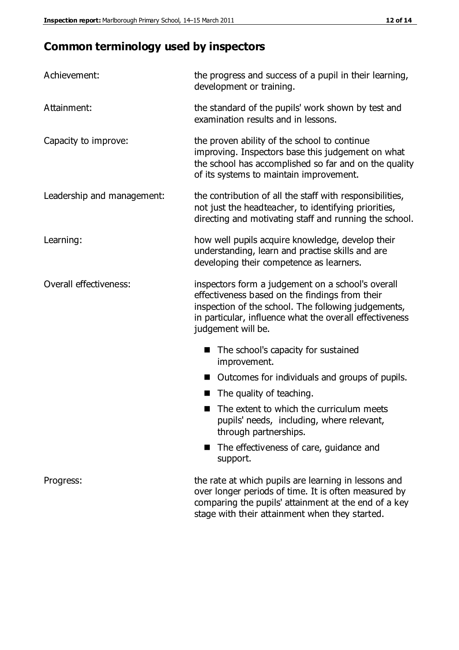# **Common terminology used by inspectors**

| Achievement:                  | the progress and success of a pupil in their learning,<br>development or training.                                                                                                                                                          |
|-------------------------------|---------------------------------------------------------------------------------------------------------------------------------------------------------------------------------------------------------------------------------------------|
| Attainment:                   | the standard of the pupils' work shown by test and<br>examination results and in lessons.                                                                                                                                                   |
| Capacity to improve:          | the proven ability of the school to continue<br>improving. Inspectors base this judgement on what<br>the school has accomplished so far and on the quality<br>of its systems to maintain improvement.                                       |
| Leadership and management:    | the contribution of all the staff with responsibilities,<br>not just the headteacher, to identifying priorities,<br>directing and motivating staff and running the school.                                                                  |
| Learning:                     | how well pupils acquire knowledge, develop their<br>understanding, learn and practise skills and are<br>developing their competence as learners.                                                                                            |
| <b>Overall effectiveness:</b> | inspectors form a judgement on a school's overall<br>effectiveness based on the findings from their<br>inspection of the school. The following judgements,<br>in particular, influence what the overall effectiveness<br>judgement will be. |
|                               | The school's capacity for sustained<br>improvement.                                                                                                                                                                                         |
|                               | Outcomes for individuals and groups of pupils.                                                                                                                                                                                              |
|                               | The quality of teaching.                                                                                                                                                                                                                    |
|                               | The extent to which the curriculum meets<br>pupils' needs, including, where relevant,<br>through partnerships.                                                                                                                              |
|                               | The effectiveness of care, guidance and<br>support.                                                                                                                                                                                         |
| Progress:                     | the rate at which pupils are learning in lessons and<br>over longer periods of time. It is often measured by<br>comparing the pupils' attainment at the end of a key                                                                        |

stage with their attainment when they started.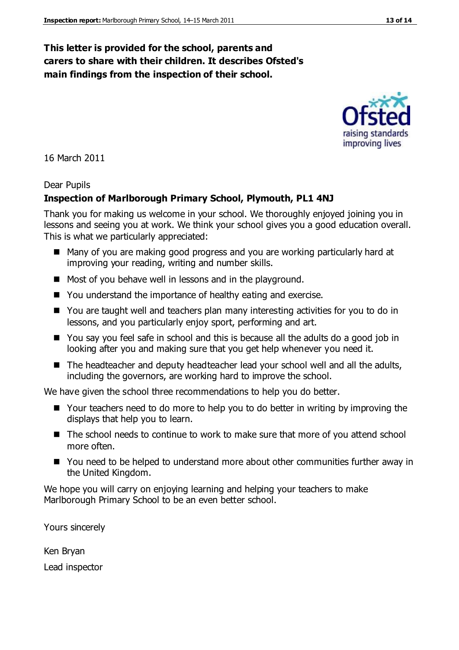#### **This letter is provided for the school, parents and carers to share with their children. It describes Ofsted's main findings from the inspection of their school.**

16 March 2011

#### Dear Pupils

#### **Inspection of Marlborough Primary School, Plymouth, PL1 4NJ**

Thank you for making us welcome in your school. We thoroughly enjoyed joining you in lessons and seeing you at work. We think your school gives you a good education overall. This is what we particularly appreciated:

- Many of you are making good progress and you are working particularly hard at improving your reading, writing and number skills.
- Most of you behave well in lessons and in the playground.
- You understand the importance of healthy eating and exercise.
- You are taught well and teachers plan many interesting activities for you to do in lessons, and you particularly enjoy sport, performing and art.
- You say you feel safe in school and this is because all the adults do a good job in looking after you and making sure that you get help whenever you need it.
- The headteacher and deputy headteacher lead your school well and all the adults, including the governors, are working hard to improve the school.

We have given the school three recommendations to help you do better.

- Your teachers need to do more to help you to do better in writing by improving the displays that help you to learn.
- The school needs to continue to work to make sure that more of you attend school more often.
- You need to be helped to understand more about other communities further away in the United Kingdom.

We hope you will carry on enjoying learning and helping your teachers to make Marlborough Primary School to be an even better school.

Yours sincerely

Ken Bryan Lead inspector



improving lives